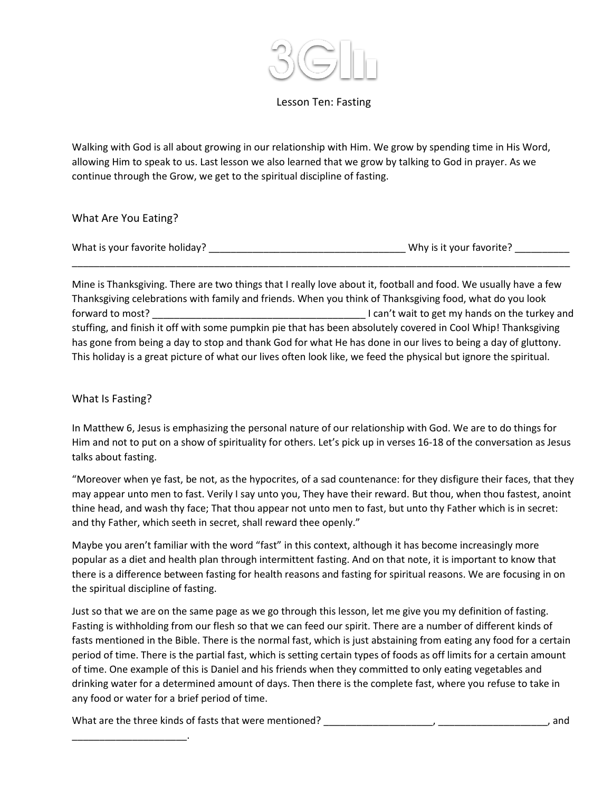

## Lesson Ten: Fasting

Walking with God is all about growing in our relationship with Him. We grow by spending time in His Word, allowing Him to speak to us. Last lesson we also learned that we grow by talking to God in prayer. As we continue through the Grow, we get to the spiritual discipline of fasting.

What Are You Eating?

| What is your favorite holiday? | Why is it your favorite? |
|--------------------------------|--------------------------|
|--------------------------------|--------------------------|

Mine is Thanksgiving. There are two things that I really love about it, football and food. We usually have a few Thanksgiving celebrations with family and friends. When you think of Thanksgiving food, what do you look forward to most? \_\_\_\_\_\_\_\_\_\_\_\_\_\_\_\_\_\_\_\_\_\_\_\_\_\_\_\_\_\_\_\_\_\_\_\_\_\_\_ I can't wait to get my hands on the turkey and stuffing, and finish it off with some pumpkin pie that has been absolutely covered in Cool Whip! Thanksgiving has gone from being a day to stop and thank God for what He has done in our lives to being a day of gluttony. This holiday is a great picture of what our lives often look like, we feed the physical but ignore the spiritual.

\_\_\_\_\_\_\_\_\_\_\_\_\_\_\_\_\_\_\_\_\_\_\_\_\_\_\_\_\_\_\_\_\_\_\_\_\_\_\_\_\_\_\_\_\_\_\_\_\_\_\_\_\_\_\_\_\_\_\_\_\_\_\_\_\_\_\_\_\_\_\_\_\_\_\_\_\_\_\_\_\_\_\_\_\_\_\_\_\_\_\_

# What Is Fasting?

In Matthew 6, Jesus is emphasizing the personal nature of our relationship with God. We are to do things for Him and not to put on a show of spirituality for others. Let's pick up in verses 16-18 of the conversation as Jesus talks about fasting.

"Moreover when ye fast, be not, as the hypocrites, of a sad countenance: for they disfigure their faces, that they may appear unto men to fast. Verily I say unto you, They have their reward. But thou, when thou fastest, anoint thine head, and wash thy face; That thou appear not unto men to fast, but unto thy Father which is in secret: and thy Father, which seeth in secret, shall reward thee openly."

Maybe you aren't familiar with the word "fast" in this context, although it has become increasingly more popular as a diet and health plan through intermittent fasting. And on that note, it is important to know that there is a difference between fasting for health reasons and fasting for spiritual reasons. We are focusing in on the spiritual discipline of fasting.

Just so that we are on the same page as we go through this lesson, let me give you my definition of fasting. Fasting is withholding from our flesh so that we can feed our spirit. There are a number of different kinds of fasts mentioned in the Bible. There is the normal fast, which is just abstaining from eating any food for a certain period of time. There is the partial fast, which is setting certain types of foods as off limits for a certain amount of time. One example of this is Daniel and his friends when they committed to only eating vegetables and drinking water for a determined amount of days. Then there is the complete fast, where you refuse to take in any food or water for a brief period of time.

What are the three kinds of fasts that were mentioned? \_\_\_\_\_\_\_\_\_\_\_\_\_\_\_\_\_\_\_\_, \_\_\_\_\_\_\_\_\_\_\_\_\_\_\_\_\_\_\_\_, and

\_\_\_\_\_\_\_\_\_\_\_\_\_\_\_\_\_\_\_\_\_.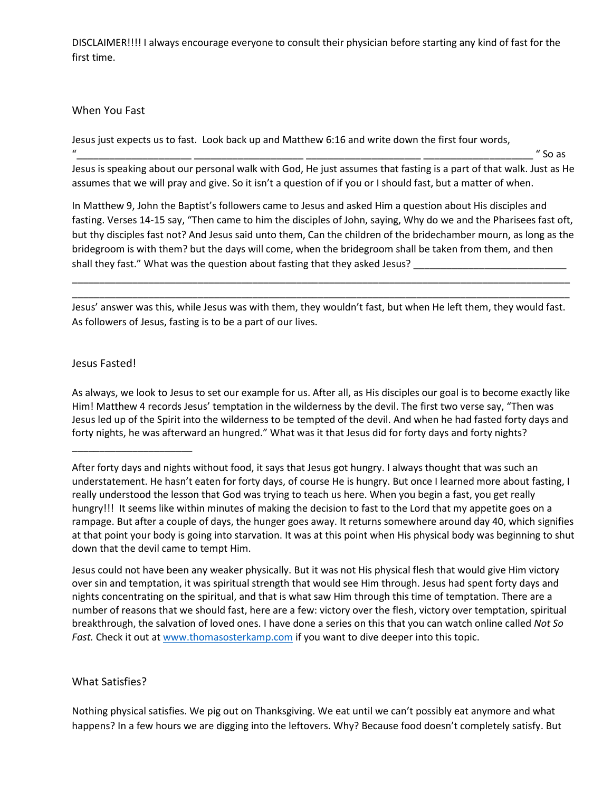DISCLAIMER!!!! I always encourage everyone to consult their physician before starting any kind of fast for the first time.

#### When You Fast

Jesus just expects us to fast. Look back up and Matthew 6:16 and write down the first four words,

"\_\_\_\_\_\_\_\_\_\_\_\_\_\_\_\_\_\_\_\_\_ \_\_\_\_\_\_\_\_\_\_\_\_\_\_\_\_\_\_\_\_ \_\_\_\_\_\_\_\_\_\_\_\_\_\_\_\_\_\_\_\_\_ \_\_\_\_\_\_\_\_\_\_\_\_\_\_\_\_\_\_\_\_ " So as

Jesus is speaking about our personal walk with God, He just assumes that fasting is a part of that walk. Just as He assumes that we will pray and give. So it isn't a question of if you or I should fast, but a matter of when.

In Matthew 9, John the Baptist's followers came to Jesus and asked Him a question about His disciples and fasting. Verses 14-15 say, "Then came to him the disciples of John, saying, Why do we and the Pharisees fast oft, but thy disciples fast not? And Jesus said unto them, Can the children of the bridechamber mourn, as long as the bridegroom is with them? but the days will come, when the bridegroom shall be taken from them, and then shall they fast." What was the question about fasting that they asked Jesus?

Jesus' answer was this, while Jesus was with them, they wouldn't fast, but when He left them, they would fast. As followers of Jesus, fasting is to be a part of our lives.

\_\_\_\_\_\_\_\_\_\_\_\_\_\_\_\_\_\_\_\_\_\_\_\_\_\_\_\_\_\_\_\_\_\_\_\_\_\_\_\_\_\_\_\_\_\_\_\_\_\_\_\_\_\_\_\_\_\_\_\_\_\_\_\_\_\_\_\_\_\_\_\_\_\_\_\_\_\_\_\_\_\_\_\_\_\_\_\_\_\_\_ \_\_\_\_\_\_\_\_\_\_\_\_\_\_\_\_\_\_\_\_\_\_\_\_\_\_\_\_\_\_\_\_\_\_\_\_\_\_\_\_\_\_\_\_\_\_\_\_\_\_\_\_\_\_\_\_\_\_\_\_\_\_\_\_\_\_\_\_\_\_\_\_\_\_\_\_\_\_\_\_\_\_\_\_\_\_\_\_\_\_\_

## Jesus Fasted!

\_\_\_\_\_\_\_\_\_\_\_\_\_\_\_\_\_\_\_\_\_\_

As always, we look to Jesus to set our example for us. After all, as His disciples our goal is to become exactly like Him! Matthew 4 records Jesus' temptation in the wilderness by the devil. The first two verse say, "Then was Jesus led up of the Spirit into the wilderness to be tempted of the devil. And when he had fasted forty days and forty nights, he was afterward an hungred." What was it that Jesus did for forty days and forty nights?

Jesus could not have been any weaker physically. But it was not His physical flesh that would give Him victory over sin and temptation, it was spiritual strength that would see Him through. Jesus had spent forty days and nights concentrating on the spiritual, and that is what saw Him through this time of temptation. There are a number of reasons that we should fast, here are a few: victory over the flesh, victory over temptation, spiritual breakthrough, the salvation of loved ones. I have done a series on this that you can watch online called *Not So Fast.* Check it out at [www.thomasosterkamp.com](http://www.thomasosterkamp.com/) if you want to dive deeper into this topic.

## What Satisfies?

Nothing physical satisfies. We pig out on Thanksgiving. We eat until we can't possibly eat anymore and what happens? In a few hours we are digging into the leftovers. Why? Because food doesn't completely satisfy. But

After forty days and nights without food, it says that Jesus got hungry. I always thought that was such an understatement. He hasn't eaten for forty days, of course He is hungry. But once I learned more about fasting, I really understood the lesson that God was trying to teach us here. When you begin a fast, you get really hungry!!! It seems like within minutes of making the decision to fast to the Lord that my appetite goes on a rampage. But after a couple of days, the hunger goes away. It returns somewhere around day 40, which signifies at that point your body is going into starvation. It was at this point when His physical body was beginning to shut down that the devil came to tempt Him.